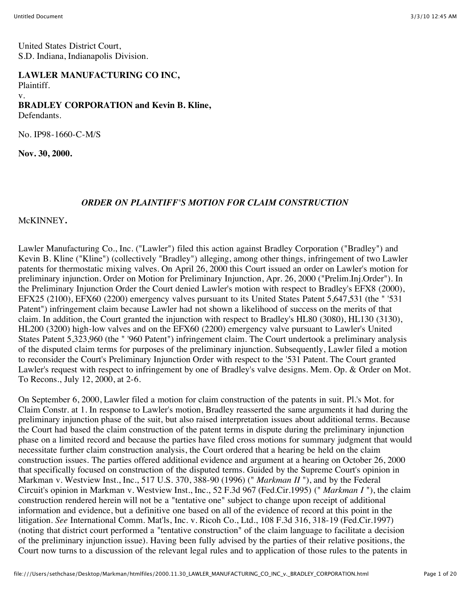United States District Court, S.D. Indiana, Indianapolis Division.

**LAWLER MANUFACTURING CO INC,** Plaintiff. v. **BRADLEY CORPORATION and Kevin B. Kline,** Defendants.

No. IP98-1660-C-M/S

**Nov. 30, 2000.**

#### *ORDER ON PLAINTIFF'S MOTION FOR CLAIM CONSTRUCTION*

McKINNEY**.**

Lawler Manufacturing Co., Inc. ("Lawler") filed this action against Bradley Corporation ("Bradley") and Kevin B. Kline ("Kline") (collectively "Bradley") alleging, among other things, infringement of two Lawler patents for thermostatic mixing valves. On April 26, 2000 this Court issued an order on Lawler's motion for preliminary injunction. Order on Motion for Preliminary Injunction, Apr. 26, 2000 ("Prelim.Inj.Order"). In the Preliminary Injunction Order the Court denied Lawler's motion with respect to Bradley's EFX8 (2000), EFX25 (2100), EFX60 (2200) emergency valves pursuant to its United States Patent 5,647,531 (the " '531 Patent") infringement claim because Lawler had not shown a likelihood of success on the merits of that claim. In addition, the Court granted the injunction with respect to Bradley's HL80 (3080), HL130 (3130), HL200 (3200) high-low valves and on the EFX60 (2200) emergency valve pursuant to Lawler's United States Patent 5,323,960 (the " '960 Patent") infringement claim. The Court undertook a preliminary analysis of the disputed claim terms for purposes of the preliminary injunction. Subsequently, Lawler filed a motion to reconsider the Court's Preliminary Injunction Order with respect to the '531 Patent. The Court granted Lawler's request with respect to infringement by one of Bradley's valve designs. Mem. Op. & Order on Mot. To Recons., July 12, 2000, at 2-6.

On September 6, 2000, Lawler filed a motion for claim construction of the patents in suit. Pl.'s Mot. for Claim Constr. at 1. In response to Lawler's motion, Bradley reasserted the same arguments it had during the preliminary injunction phase of the suit, but also raised interpretation issues about additional terms. Because the Court had based the claim construction of the patent terms in dispute during the preliminary injunction phase on a limited record and because the parties have filed cross motions for summary judgment that would necessitate further claim construction analysis, the Court ordered that a hearing be held on the claim construction issues. The parties offered additional evidence and argument at a hearing on October 26, 2000 that specifically focused on construction of the disputed terms. Guided by the Supreme Court's opinion in Markman v. Westview Inst., Inc., 517 U.S. 370, 388-90 (1996) (" *Markman II* "), and by the Federal Circuit's opinion in Markman v. Westview Inst., Inc., 52 F.3d 967 (Fed.Cir.1995) (" *Markman I* "), the claim construction rendered herein will not be a "tentative one" subject to change upon receipt of additional information and evidence, but a definitive one based on all of the evidence of record at this point in the litigation. *See* International Comm. Mat'ls, Inc. v. Ricoh Co., Ltd., 108 F.3d 316, 318-19 (Fed.Cir.1997) (noting that district court performed a "tentative construction" of the claim language to facilitate a decision of the preliminary injunction issue). Having been fully advised by the parties of their relative positions, the Court now turns to a discussion of the relevant legal rules and to application of those rules to the patents in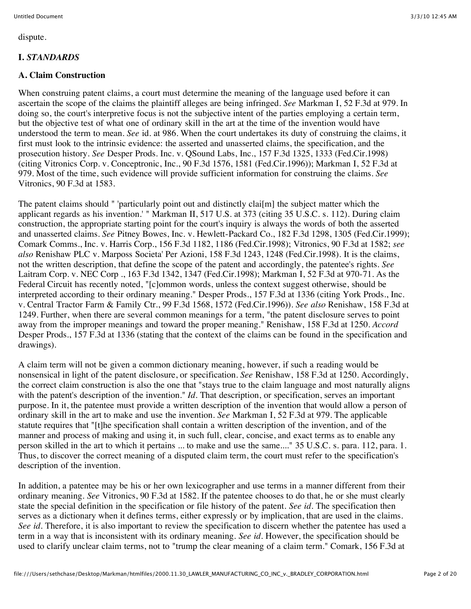dispute.

# **I.** *STANDARDS*

## **A. Claim Construction**

When construing patent claims, a court must determine the meaning of the language used before it can ascertain the scope of the claims the plaintiff alleges are being infringed. *See* Markman I, 52 F.3d at 979. In doing so, the court's interpretive focus is not the subjective intent of the parties employing a certain term, but the objective test of what one of ordinary skill in the art at the time of the invention would have understood the term to mean. *See* id. at 986. When the court undertakes its duty of construing the claims, it first must look to the intrinsic evidence: the asserted and unasserted claims, the specification, and the prosecution history. *See* Desper Prods. Inc. v. QSound Labs, Inc., 157 F.3d 1325, 1333 (Fed.Cir.1998) (citing Vitronics Corp. v. Conceptronic, Inc., 90 F.3d 1576, 1581 (Fed.Cir.1996)); Markman I, 52 F.3d at 979. Most of the time, such evidence will provide sufficient information for construing the claims. *See* Vitronics, 90 F.3d at 1583.

The patent claims should " 'particularly point out and distinctly clai[m] the subject matter which the applicant regards as his invention.' " Markman II, 517 U.S. at 373 (citing 35 U.S.C. s. 112). During claim construction, the appropriate starting point for the court's inquiry is always the words of both the asserted and unasserted claims. *See* Pitney Bowes, Inc. v. Hewlett-Packard Co., 182 F.3d 1298, 1305 (Fed.Cir.1999); Comark Comms., Inc. v. Harris Corp., 156 F.3d 1182, 1186 (Fed.Cir.1998); Vitronics, 90 F.3d at 1582; *see also* Renishaw PLC v. Marposs Societa' Per Azioni, 158 F.3d 1243, 1248 (Fed.Cir.1998). It is the claims, not the written description, that define the scope of the patent and accordingly, the patentee's rights. *See* Laitram Corp. v. NEC Corp ., 163 F.3d 1342, 1347 (Fed.Cir.1998); Markman I, 52 F.3d at 970-71. As the Federal Circuit has recently noted, "[c]ommon words, unless the context suggest otherwise, should be interpreted according to their ordinary meaning." Desper Prods., 157 F.3d at 1336 (citing York Prods., Inc. v. Central Tractor Farm & Family Ctr., 99 F.3d 1568, 1572 (Fed.Cir.1996)). *See also* Renishaw, 158 F.3d at 1249. Further, when there are several common meanings for a term, "the patent disclosure serves to point away from the improper meanings and toward the proper meaning." Renishaw, 158 F.3d at 1250. *Accord* Desper Prods., 157 F.3d at 1336 (stating that the context of the claims can be found in the specification and drawings).

A claim term will not be given a common dictionary meaning, however, if such a reading would be nonsensical in light of the patent disclosure, or specification. *See* Renishaw, 158 F.3d at 1250. Accordingly, the correct claim construction is also the one that "stays true to the claim language and most naturally aligns with the patent's description of the invention." *Id.* That description, or specification, serves an important purpose. In it, the patentee must provide a written description of the invention that would allow a person of ordinary skill in the art to make and use the invention. *See* Markman I, 52 F.3d at 979. The applicable statute requires that "[t]he specification shall contain a written description of the invention, and of the manner and process of making and using it, in such full, clear, concise, and exact terms as to enable any person skilled in the art to which it pertains ... to make and use the same...." 35 U.S.C. s. para. 112, para. 1. Thus, to discover the correct meaning of a disputed claim term, the court must refer to the specification's description of the invention.

In addition, a patentee may be his or her own lexicographer and use terms in a manner different from their ordinary meaning. *See* Vitronics, 90 F.3d at 1582. If the patentee chooses to do that, he or she must clearly state the special definition in the specification or file history of the patent. *See id.* The specification then serves as a dictionary when it defines terms, either expressly or by implication, that are used in the claims. *See id.* Therefore, it is also important to review the specification to discern whether the patentee has used a term in a way that is inconsistent with its ordinary meaning. *See id.* However, the specification should be used to clarify unclear claim terms, not to "trump the clear meaning of a claim term." Comark, 156 F.3d at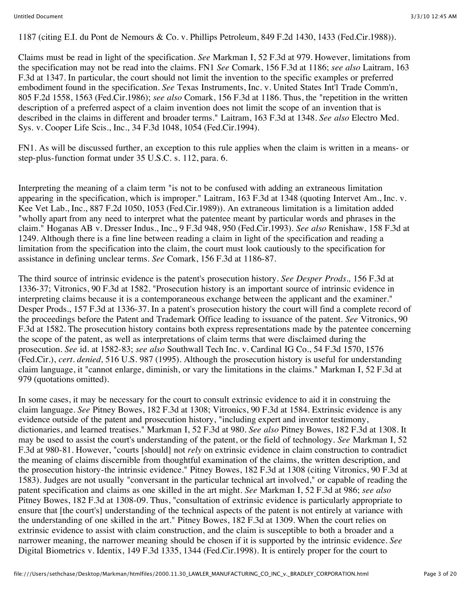1187 (citing E.I. du Pont de Nemours & Co. v. Phillips Petroleum, 849 F.2d 1430, 1433 (Fed.Cir.1988)).

Claims must be read in light of the specification. *See* Markman I, 52 F.3d at 979. However, limitations from the specification may not be read into the claims. FN1 *See* Comark, 156 F.3d at 1186; *see also* Laitram, 163 F.3d at 1347. In particular, the court should not limit the invention to the specific examples or preferred embodiment found in the specification. *See* Texas Instruments, Inc. v. United States Int'l Trade Comm'n, 805 F.2d 1558, 1563 (Fed.Cir.1986); *see also* Comark, 156 F.3d at 1186. Thus, the "repetition in the written description of a preferred aspect of a claim invention does not limit the scope of an invention that is described in the claims in different and broader terms." Laitram, 163 F.3d at 1348. *See also* Electro Med. Sys. v. Cooper Life Scis., Inc., 34 F.3d 1048, 1054 (Fed.Cir.1994).

FN1. As will be discussed further, an exception to this rule applies when the claim is written in a means- or step-plus-function format under 35 U.S.C. s. 112, para. 6.

Interpreting the meaning of a claim term "is not to be confused with adding an extraneous limitation appearing in the specification, which is improper." Laitram, 163 F.3d at 1348 (quoting Intervet Am., Inc. v. Kee Vet Lab., Inc., 887 F.2d 1050, 1053 (Fed.Cir.1989)). An extraneous limitation is a limitation added "wholly apart from any need to interpret what the patentee meant by particular words and phrases in the claim." Hoganas AB v. Dresser Indus., Inc., 9 F.3d 948, 950 (Fed.Cir.1993). *See also* Renishaw, 158 F.3d at 1249. Although there is a fine line between reading a claim in light of the specification and reading a limitation from the specification into the claim, the court must look cautiously to the specification for assistance in defining unclear terms. *See* Comark, 156 F.3d at 1186-87.

The third source of intrinsic evidence is the patent's prosecution history. *See Desper Prods.,* 156 F.3d at 1336-37; Vitronics, 90 F.3d at 1582. "Prosecution history is an important source of intrinsic evidence in interpreting claims because it is a contemporaneous exchange between the applicant and the examiner." Desper Prods., 157 F.3d at 1336-37. In a patent's prosecution history the court will find a complete record of the proceedings before the Patent and Trademark Office leading to issuance of the patent. *See* Vitronics, 90 F.3d at 1582. The prosecution history contains both express representations made by the patentee concerning the scope of the patent, as well as interpretations of claim terms that were disclaimed during the prosecution. *See* id. at 1582-83; *see also* Southwall Tech Inc. v. Cardinal IG Co., 54 F.3d 1570, 1576 (Fed.Cir.), *cert. denied,* 516 U.S. 987 (1995). Although the prosecution history is useful for understanding claim language, it "cannot enlarge, diminish, or vary the limitations in the claims." Markman I, 52 F.3d at 979 (quotations omitted).

In some cases, it may be necessary for the court to consult extrinsic evidence to aid it in construing the claim language. *See* Pitney Bowes, 182 F.3d at 1308; Vitronics, 90 F.3d at 1584. Extrinsic evidence is any evidence outside of the patent and prosecution history, "including expert and inventor testimony, dictionaries, and learned treatises." Markman I, 52 F.3d at 980. *See also* Pitney Bowes, 182 F.3d at 1308. It may be used to assist the court's understanding of the patent, or the field of technology. *See* Markman I, 52 F.3d at 980-81. However, "courts [should] not *rely* on extrinsic evidence in claim construction to contradict the meaning of claims discernible from thoughtful examination of the claims, the written description, and the prosecution history-the intrinsic evidence." Pitney Bowes, 182 F.3d at 1308 (citing Vitronics, 90 F.3d at 1583). Judges are not usually "conversant in the particular technical art involved," or capable of reading the patent specification and claims as one skilled in the art might. *See* Markman I, 52 F.3d at 986; *see also* Pitney Bowes, 182 F.3d at 1308-09. Thus, "consultation of extrinsic evidence is particularly appropriate to ensure that [the court's] understanding of the technical aspects of the patent is not entirely at variance with the understanding of one skilled in the art." Pitney Bowes, 182 F.3d at 1309. When the court relies on extrinsic evidence to assist with claim construction, and the claim is susceptible to both a broader and a narrower meaning, the narrower meaning should be chosen if it is supported by the intrinsic evidence. *See* Digital Biometrics v. Identix, 149 F.3d 1335, 1344 (Fed.Cir.1998). It is entirely proper for the court to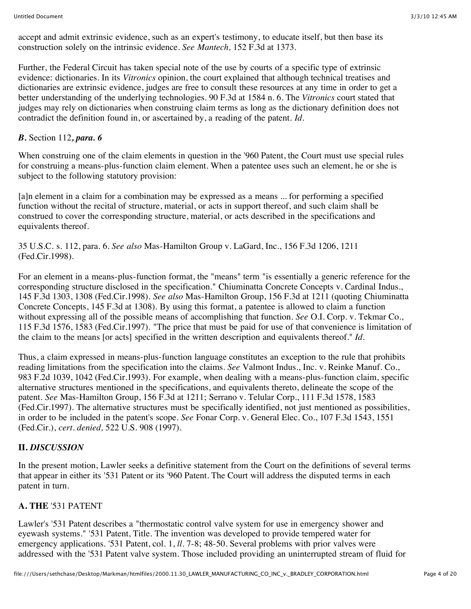accept and admit extrinsic evidence, such as an expert's testimony, to educate itself, but then base its construction solely on the intrinsic evidence. *See Mantech,* 152 F.3d at 1373.

Further, the Federal Circuit has taken special note of the use by courts of a specific type of extrinsic evidence: dictionaries. In its *Vitronics* opinion, the court explained that although technical treatises and dictionaries are extrinsic evidence, judges are free to consult these resources at any time in order to get a better understanding of the underlying technologies. 90 F.3d at 1584 n. 6. The *Vitronics* court stated that judges may rely on dictionaries when construing claim terms as long as the dictionary definition does not contradict the definition found in, or ascertained by, a reading of the patent. *Id.*

## *B.* Section 112*, para. 6*

When construing one of the claim elements in question in the '960 Patent, the Court must use special rules for construing a means-plus-function claim element. When a patentee uses such an element, he or she is subject to the following statutory provision:

[a]n element in a claim for a combination may be expressed as a means ... for performing a specified function without the recital of structure, material, or acts in support thereof, and such claim shall be construed to cover the corresponding structure, material, or acts described in the specifications and equivalents thereof.

35 U.S.C. s. 112, para. 6. *See also* Mas-Hamilton Group v. LaGard, Inc., 156 F.3d 1206, 1211 (Fed.Cir.1998).

For an element in a means-plus-function format, the "means" term "is essentially a generic reference for the corresponding structure disclosed in the specification." Chiuminatta Concrete Concepts v. Cardinal Indus., 145 F.3d 1303, 1308 (Fed.Cir.1998). *See also* Mas-Hamilton Group, 156 F.3d at 1211 (quoting Chiuminatta Concrete Concepts, 145 F.3d at 1308). By using this format, a patentee is allowed to claim a function without expressing all of the possible means of accomplishing that function. *See* O.I. Corp. v. Tekmar Co., 115 F.3d 1576, 1583 (Fed.Cir.1997). "The price that must be paid for use of that convenience is limitation of the claim to the means [or acts] specified in the written description and equivalents thereof." *Id.*

Thus, a claim expressed in means-plus-function language constitutes an exception to the rule that prohibits reading limitations from the specification into the claims. *See* Valmont Indus., Inc. v. Reinke Manuf. Co., 983 F.2d 1039, 1042 (Fed.Cir.1993). For example, when dealing with a means-plus-function claim, specific alternative structures mentioned in the specifications, and equivalents thereto, delineate the scope of the patent. *See* Mas-Hamilton Group, 156 F.3d at 1211; Serrano v. Telular Corp., 111 F.3d 1578, 1583 (Fed.Cir.1997). The alternative structures must be specifically identified, not just mentioned as possibilities, in order to be included in the patent's scope. *See* Fonar Corp. v. General Elec. Co., 107 F.3d 1543, 1551 (Fed.Cir.), *cert. denied,* 522 U.S. 908 (1997).

# **II.** *DISCUSSION*

In the present motion, Lawler seeks a definitive statement from the Court on the definitions of several terms that appear in either its '531 Patent or its '960 Patent. The Court will address the disputed terms in each patent in turn.

## **A. THE** '531 PATENT

Lawler's '531 Patent describes a "thermostatic control valve system for use in emergency shower and eyewash systems." '531 Patent, Title. The invention was developed to provide tempered water for emergency applications. '531 Patent, col. 1, *ll.* 7-8; 48-50. Several problems with prior valves were addressed with the '531 Patent valve system. Those included providing an uninterrupted stream of fluid for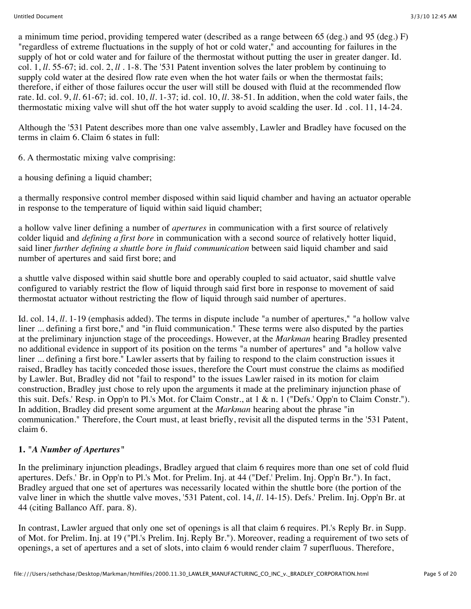a minimum time period, providing tempered water (described as a range between 65 (deg.) and 95 (deg.) F) "regardless of extreme fluctuations in the supply of hot or cold water," and accounting for failures in the supply of hot or cold water and for failure of the thermostat without putting the user in greater danger. Id. col. 1, *ll.* 55-67; id. col. 2, *ll .* 1-8. The '531 Patent invention solves the later problem by continuing to supply cold water at the desired flow rate even when the hot water fails or when the thermostat fails; therefore, if either of those failures occur the user will still be doused with fluid at the recommended flow rate. Id. col. 9, *ll.* 61-67; id. col. 10, *ll.* 1-37; id. col. 10, *ll.* 38-51. In addition, when the cold water fails, the thermostatic mixing valve will shut off the hot water supply to avoid scalding the user. Id . col. 11, 14-24.

Although the '531 Patent describes more than one valve assembly, Lawler and Bradley have focused on the terms in claim 6. Claim 6 states in full:

6. A thermostatic mixing valve comprising:

a housing defining a liquid chamber;

a thermally responsive control member disposed within said liquid chamber and having an actuator operable in response to the temperature of liquid within said liquid chamber;

a hollow valve liner defining a number of *apertures* in communication with a first source of relatively colder liquid and *defining a first bore* in communication with a second source of relatively hotter liquid, said liner *further defining a shuttle bore in fluid communication* between said liquid chamber and said number of apertures and said first bore; and

a shuttle valve disposed within said shuttle bore and operably coupled to said actuator, said shuttle valve configured to variably restrict the flow of liquid through said first bore in response to movement of said thermostat actuator without restricting the flow of liquid through said number of apertures.

Id. col. 14, *ll.* 1-19 (emphasis added). The terms in dispute include "a number of apertures," "a hollow valve liner ... defining a first bore," and "in fluid communication." These terms were also disputed by the parties at the preliminary injunction stage of the proceedings. However, at the *Markman* hearing Bradley presented no additional evidence in support of its position on the terms "a number of apertures" and "a hollow valve liner ... defining a first bore." Lawler asserts that by failing to respond to the claim construction issues it raised, Bradley has tacitly conceded those issues, therefore the Court must construe the claims as modified by Lawler. But, Bradley did not "fail to respond" to the issues Lawler raised in its motion for claim construction, Bradley just chose to rely upon the arguments it made at the preliminary injunction phase of this suit. Defs.' Resp. in Opp'n to Pl.'s Mot. for Claim Constr., at 1 & n. 1 ("Defs.' Opp'n to Claim Constr."). In addition, Bradley did present some argument at the *Markman* hearing about the phrase "in communication." Therefore, the Court must, at least briefly, revisit all the disputed terms in the '531 Patent, claim 6.

# **1.** *"A Number of Apertures"*

In the preliminary injunction pleadings, Bradley argued that claim 6 requires more than one set of cold fluid apertures. Defs.' Br. in Opp'n to Pl.'s Mot. for Prelim. Inj. at 44 ("Def.' Prelim. Inj. Opp'n Br."). In fact, Bradley argued that one set of apertures was necessarily located within the shuttle bore (the portion of the valve liner in which the shuttle valve moves, '531 Patent, col. 14, *ll.* 14-15). Defs.' Prelim. Inj. Opp'n Br. at 44 (citing Ballanco Aff. para. 8).

In contrast, Lawler argued that only one set of openings is all that claim 6 requires. Pl.'s Reply Br. in Supp. of Mot. for Prelim. Inj. at 19 ("Pl.'s Prelim. Inj. Reply Br."). Moreover, reading a requirement of two sets of openings, a set of apertures and a set of slots, into claim 6 would render claim 7 superfluous. Therefore,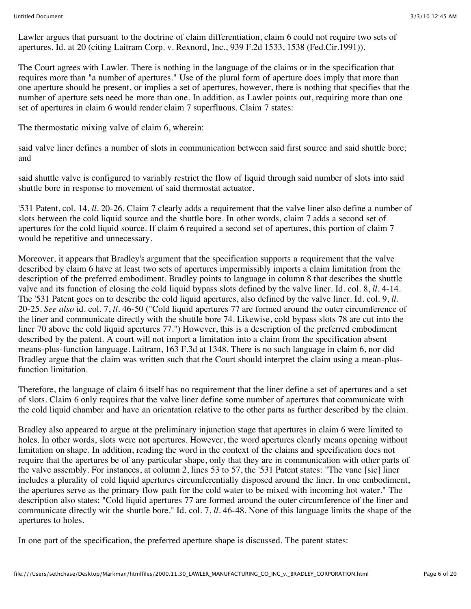Lawler argues that pursuant to the doctrine of claim differentiation, claim 6 could not require two sets of apertures. Id. at 20 (citing Laitram Corp. v. Rexnord, Inc., 939 F.2d 1533, 1538 (Fed.Cir.1991)).

The Court agrees with Lawler. There is nothing in the language of the claims or in the specification that requires more than "a number of apertures." Use of the plural form of aperture does imply that more than one aperture should be present, or implies a set of apertures, however, there is nothing that specifies that the number of aperture sets need be more than one. In addition, as Lawler points out, requiring more than one set of apertures in claim 6 would render claim 7 superfluous. Claim 7 states:

The thermostatic mixing valve of claim 6, wherein:

said valve liner defines a number of slots in communication between said first source and said shuttle bore; and

said shuttle valve is configured to variably restrict the flow of liquid through said number of slots into said shuttle bore in response to movement of said thermostat actuator.

'531 Patent, col. 14, *ll.* 20-26. Claim 7 clearly adds a requirement that the valve liner also define a number of slots between the cold liquid source and the shuttle bore. In other words, claim 7 adds a second set of apertures for the cold liquid source. If claim 6 required a second set of apertures, this portion of claim 7 would be repetitive and unnecessary.

Moreover, it appears that Bradley's argument that the specification supports a requirement that the valve described by claim 6 have at least two sets of apertures impermissibly imports a claim limitation from the description of the preferred embodiment. Bradley points to language in column 8 that describes the shuttle valve and its function of closing the cold liquid bypass slots defined by the valve liner. Id. col. 8, *ll.* 4-14. The '531 Patent goes on to describe the cold liquid apertures, also defined by the valve liner. Id. col. 9, *ll.* 20-25. *See also* id. col. 7, *ll.* 46-50 ("Cold liquid apertures 77 are formed around the outer circumference of the liner and communicate directly with the shuttle bore 74. Likewise, cold bypass slots 78 are cut into the liner 70 above the cold liquid apertures 77.") However, this is a description of the preferred embodiment described by the patent. A court will not import a limitation into a claim from the specification absent means-plus-function language. Laitram, 163 F.3d at 1348. There is no such language in claim 6, nor did Bradley argue that the claim was written such that the Court should interpret the claim using a mean-plusfunction limitation.

Therefore, the language of claim 6 itself has no requirement that the liner define a set of apertures and a set of slots. Claim 6 only requires that the valve liner define some number of apertures that communicate with the cold liquid chamber and have an orientation relative to the other parts as further described by the claim.

Bradley also appeared to argue at the preliminary injunction stage that apertures in claim 6 were limited to holes. In other words, slots were not apertures. However, the word apertures clearly means opening without limitation on shape. In addition, reading the word in the context of the claims and specification does not require that the apertures be of any particular shape, only that they are in communication with other parts of the valve assembly. For instances, at column 2, lines 53 to 57, the '531 Patent states: "The vane [sic] liner includes a plurality of cold liquid apertures circumferentially disposed around the liner. In one embodiment, the apertures serve as the primary flow path for the cold water to be mixed with incoming hot water." The description also states: "Cold liquid apertures 77 are formed around the outer circumference of the liner and communicate directly wit the shuttle bore." Id. col. 7, *ll.* 46-48. None of this language limits the shape of the apertures to holes.

In one part of the specification, the preferred aperture shape is discussed. The patent states: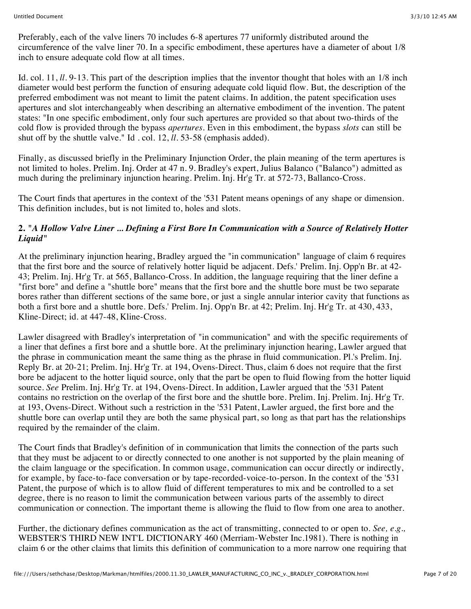Preferably, each of the valve liners 70 includes 6-8 apertures 77 uniformly distributed around the circumference of the valve liner 70. In a specific embodiment, these apertures have a diameter of about 1/8 inch to ensure adequate cold flow at all times.

Id. col. 11, *ll.* 9-13. This part of the description implies that the inventor thought that holes with an 1/8 inch diameter would best perform the function of ensuring adequate cold liquid flow. But, the description of the preferred embodiment was not meant to limit the patent claims. In addition, the patent specification uses apertures and slot interchangeably when describing an alternative embodiment of the invention. The patent states: "In one specific embodiment, only four such apertures are provided so that about two-thirds of the cold flow is provided through the bypass *apertures.* Even in this embodiment, the bypass *slots* can still be shut off by the shuttle valve." Id . col. 12, *ll.* 53-58 (emphasis added).

Finally, as discussed briefly in the Preliminary Injunction Order, the plain meaning of the term apertures is not limited to holes. Prelim. Inj. Order at 47 n. 9. Bradley's expert, Julius Balanco ("Balanco") admitted as much during the preliminary injunction hearing. Prelim. Inj. Hr'g Tr. at 572-73, Ballanco-Cross.

The Court finds that apertures in the context of the '531 Patent means openings of any shape or dimension. This definition includes, but is not limited to, holes and slots.

## **2.** *"A Hollow Valve Liner ... Defining a First Bore In Communication with a Source of Relatively Hotter Liquid"*

At the preliminary injunction hearing, Bradley argued the "in communication" language of claim 6 requires that the first bore and the source of relatively hotter liquid be adjacent. Defs.' Prelim. Inj. Opp'n Br. at 42- 43; Prelim. Inj. Hr'g Tr. at 565, Ballanco-Cross. In addition, the language requiring that the liner define a "first bore" and define a "shuttle bore" means that the first bore and the shuttle bore must be two separate bores rather than different sections of the same bore, or just a single annular interior cavity that functions as both a first bore and a shuttle bore. Defs.' Prelim. Inj. Opp'n Br. at 42; Prelim. Inj. Hr'g Tr. at 430, 433, Kline-Direct; id. at 447-48, Kline-Cross.

Lawler disagreed with Bradley's interpretation of "in communication" and with the specific requirements of a liner that defines a first bore and a shuttle bore. At the preliminary injunction hearing, Lawler argued that the phrase in communication meant the same thing as the phrase in fluid communication. Pl.'s Prelim. Inj. Reply Br. at 20-21; Prelim. Inj. Hr'g Tr. at 194, Ovens-Direct. Thus, claim 6 does not require that the first bore be adjacent to the hotter liquid source, only that the part be open to fluid flowing from the hotter liquid source. *See* Prelim. Inj. Hr'g Tr. at 194, Ovens-Direct. In addition, Lawler argued that the '531 Patent contains no restriction on the overlap of the first bore and the shuttle bore. Prelim. Inj. Prelim. Inj. Hr'g Tr. at 193, Ovens-Direct. Without such a restriction in the '531 Patent, Lawler argued, the first bore and the shuttle bore can overlap until they are both the same physical part, so long as that part has the relationships required by the remainder of the claim.

The Court finds that Bradley's definition of in communication that limits the connection of the parts such that they must be adjacent to or directly connected to one another is not supported by the plain meaning of the claim language or the specification. In common usage, communication can occur directly or indirectly, for example, by face-to-face conversation or by tape-recorded-voice-to-person. In the context of the '531 Patent, the purpose of which is to allow fluid of different temperatures to mix and be controlled to a set degree, there is no reason to limit the communication between various parts of the assembly to direct communication or connection. The important theme is allowing the fluid to flow from one area to another.

Further, the dictionary defines communication as the act of transmitting, connected to or open to. *See, e.g.,* WEBSTER'S THIRD NEW INT'L DICTIONARY 460 (Merriam-Webster Inc.1981). There is nothing in claim 6 or the other claims that limits this definition of communication to a more narrow one requiring that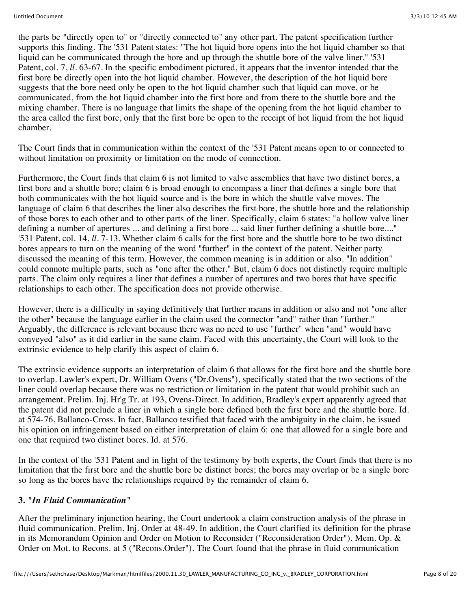the parts be "directly open to" or "directly connected to" any other part. The patent specification further supports this finding. The '531 Patent states: "The hot liquid bore opens into the hot liquid chamber so that liquid can be communicated through the bore and up through the shuttle bore of the valve liner." '531 Patent, col. 7, *ll.* 63-67. In the specific embodiment pictured, it appears that the inventor intended that the first bore be directly open into the hot liquid chamber. However, the description of the hot liquid bore suggests that the bore need only be open to the hot liquid chamber such that liquid can move, or be communicated, from the hot liquid chamber into the first bore and from there to the shuttle bore and the mixing chamber. There is no language that limits the shape of the opening from the hot liquid chamber to the area called the first bore, only that the first bore be open to the receipt of hot liquid from the hot liquid chamber.

The Court finds that in communication within the context of the '531 Patent means open to or connected to without limitation on proximity or limitation on the mode of connection.

Furthermore, the Court finds that claim 6 is not limited to valve assemblies that have two distinct bores, a first bore and a shuttle bore; claim 6 is broad enough to encompass a liner that defines a single bore that both communicates with the hot liquid source and is the bore in which the shuttle valve moves. The language of claim 6 that describes the liner also describes the first bore, the shuttle bore and the relationship of those bores to each other and to other parts of the liner. Specifically, claim 6 states: "a hollow valve liner defining a number of apertures ... and defining a first bore ... said liner further defining a shuttle bore...." '531 Patent, col. 14, *ll.* 7-13. Whether claim 6 calls for the first bore and the shuttle bore to be two distinct bores appears to turn on the meaning of the word "further" in the context of the patent. Neither party discussed the meaning of this term. However, the common meaning is in addition or also. "In addition" could connote multiple parts, such as "one after the other." But, claim 6 does not distinctly require multiple parts. The claim only requires a liner that defines a number of apertures and two bores that have specific relationships to each other. The specification does not provide otherwise.

However, there is a difficulty in saying definitively that further means in addition or also and not "one after the other" because the language earlier in the claim used the connector "and" rather than "further." Arguably, the difference is relevant because there was no need to use "further" when "and" would have conveyed "also" as it did earlier in the same claim. Faced with this uncertainty, the Court will look to the extrinsic evidence to help clarify this aspect of claim 6.

The extrinsic evidence supports an interpretation of claim 6 that allows for the first bore and the shuttle bore to overlap. Lawler's expert, Dr. William Ovens ("Dr.Ovens"), specifically stated that the two sections of the liner could overlap because there was no restriction or limitation in the patent that would prohibit such an arrangement. Prelim. Inj. Hr'g Tr. at 193, Ovens-Direct. In addition, Bradley's expert apparently agreed that the patent did not preclude a liner in which a single bore defined both the first bore and the shuttle bore. Id. at 574-76, Ballanco-Cross. In fact, Ballanco testified that faced with the ambiguity in the claim, he issued his opinion on infringement based on either interpretation of claim 6: one that allowed for a single bore and one that required two distinct bores. Id. at 576.

In the context of the '531 Patent and in light of the testimony by both experts, the Court finds that there is no limitation that the first bore and the shuttle bore be distinct bores; the bores may overlap or be a single bore so long as the bores have the relationships required by the remainder of claim 6.

#### **3.** *"In Fluid Communication"*

After the preliminary injunction hearing, the Court undertook a claim construction analysis of the phrase in fluid communication. Prelim. Inj. Order at 48-49. In addition, the Court clarified its definition for the phrase in its Memorandum Opinion and Order on Motion to Reconsider ("Reconsideration Order"). Mem. Op. & Order on Mot. to Recons. at 5 ("Recons.Order"). The Court found that the phrase in fluid communication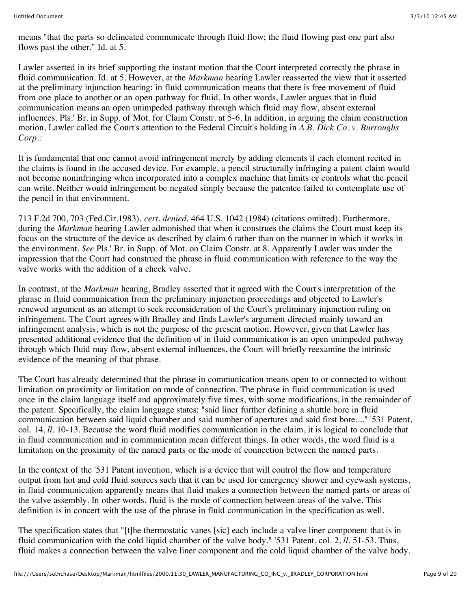means "that the parts so delineated communicate through fluid flow; the fluid flowing past one part also flows past the other." Id. at 5.

Lawler asserted in its brief supporting the instant motion that the Court interpreted correctly the phrase in fluid communication. Id. at 5. However, at the *Markman* hearing Lawler reasserted the view that it asserted at the preliminary injunction hearing: in fluid communication means that there is free movement of fluid from one place to another or an open pathway for fluid. In other words, Lawler argues that in fluid communication means an open unimpeded pathway through which fluid may flow, absent external influences. Pls.' Br. in Supp. of Mot. for Claim Constr. at 5-6. In addition, in arguing the claim construction motion, Lawler called the Court's attention to the Federal Circuit's holding in *A.B. Dick Co. v. Burroughs Corp.:*

It is fundamental that one cannot avoid infringement merely by adding elements if each element recited in the claims is found in the accused device. For example, a pencil structurally infringing a patent claim would not become noninfringing when incorporated into a complex machine that limits or controls what the pencil can write. Neither would infringement be negated simply because the patentee failed to contemplate use of the pencil in that environment.

713 F.2d 700, 703 (Fed.Cir.1983), *cert. denied,* 464 U.S. 1042 (1984) (citations omitted). Furthermore, during the *Markman* hearing Lawler admonished that when it construes the claims the Court must keep its focus on the structure of the device as described by claim 6 rather than on the manner in which it works in the environment. *See* Pls.' Br. in Supp. of Mot. on Claim Constr. at 8. Apparently Lawler was under the impression that the Court had construed the phrase in fluid communication with reference to the way the valve works with the addition of a check valve.

In contrast, at the *Markman* hearing, Bradley asserted that it agreed with the Court's interpretation of the phrase in fluid communication from the preliminary injunction proceedings and objected to Lawler's renewed argument as an attempt to seek reconsideration of the Court's preliminary injunction ruling on infringement. The Court agrees with Bradley and finds Lawler's argument directed mainly toward an infringement analysis, which is not the purpose of the present motion. However, given that Lawler has presented additional evidence that the definition of in fluid communication is an open unimpeded pathway through which fluid may flow, absent external influences, the Court will briefly reexamine the intrinsic evidence of the meaning of that phrase.

The Court has already determined that the phrase in communication means open to or connected to without limitation on proximity or limitation on mode of connection. The phrase in fluid communication is used once in the claim language itself and approximately five times, with some modifications, in the remainder of the patent. Specifically, the claim language states: "said liner further defining a shuttle bore in fluid communication between said liquid chamber and said number of apertures and said first bore...." '531 Patent, col. 14, *ll.* 10-13. Because the word fluid modifies communication in the claim, it is logical to conclude that in fluid communication and in communication mean different things. In other words, the word fluid is a limitation on the proximity of the named parts or the mode of connection between the named parts.

In the context of the '531 Patent invention, which is a device that will control the flow and temperature output from hot and cold fluid sources such that it can be used for emergency shower and eyewash systems, in fluid communication apparently means that fluid makes a connection between the named parts or areas of the valve assembly. In other words, fluid is the mode of connection between areas of the valve. This definition is in concert with the use of the phrase in fluid communication in the specification as well.

The specification states that "[t]he thermostatic vanes [sic] each include a valve liner component that is in fluid communication with the cold liquid chamber of the valve body." '531 Patent, col. 2, *ll.* 51-53. Thus, fluid makes a connection between the valve liner component and the cold liquid chamber of the valve body.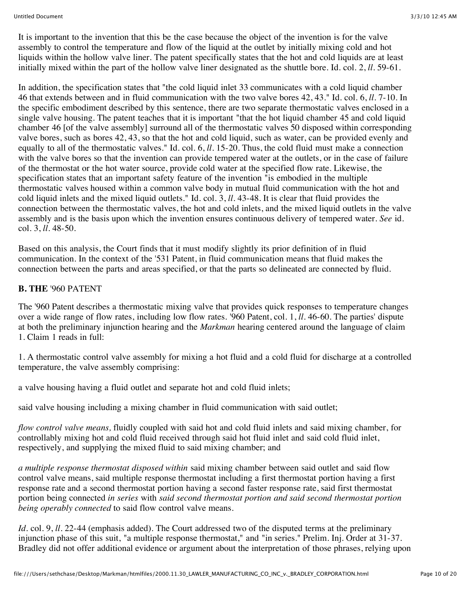It is important to the invention that this be the case because the object of the invention is for the valve assembly to control the temperature and flow of the liquid at the outlet by initially mixing cold and hot liquids within the hollow valve liner. The patent specifically states that the hot and cold liquids are at least initially mixed within the part of the hollow valve liner designated as the shuttle bore. Id. col. 2, *ll.* 59-61.

In addition, the specification states that "the cold liquid inlet 33 communicates with a cold liquid chamber 46 that extends between and in fluid communication with the two valve bores 42, 43." Id. col. 6, *ll.* 7-10. In the specific embodiment described by this sentence, there are two separate thermostatic valves enclosed in a single valve housing. The patent teaches that it is important "that the hot liquid chamber 45 and cold liquid chamber 46 [of the valve assembly] surround all of the thermostatic valves 50 disposed within corresponding valve bores, such as bores 42, 43, so that the hot and cold liquid, such as water, can be provided evenly and equally to all of the thermostatic valves." Id. col. 6, *ll.* 15-20. Thus, the cold fluid must make a connection with the valve bores so that the invention can provide tempered water at the outlets, or in the case of failure of the thermostat or the hot water source, provide cold water at the specified flow rate. Likewise, the specification states that an important safety feature of the invention "is embodied in the multiple thermostatic valves housed within a common valve body in mutual fluid communication with the hot and cold liquid inlets and the mixed liquid outlets." Id. col. 3, *ll.* 43-48. It is clear that fluid provides the connection between the thermostatic valves, the hot and cold inlets, and the mixed liquid outlets in the valve assembly and is the basis upon which the invention ensures continuous delivery of tempered water. *See* id. col. 3, *ll.* 48-50.

Based on this analysis, the Court finds that it must modify slightly its prior definition of in fluid communication. In the context of the '531 Patent, in fluid communication means that fluid makes the connection between the parts and areas specified, or that the parts so delineated are connected by fluid.

#### **B. THE** '960 PATENT

The '960 Patent describes a thermostatic mixing valve that provides quick responses to temperature changes over a wide range of flow rates, including low flow rates. '960 Patent, col. 1, *ll.* 46-60. The parties' dispute at both the preliminary injunction hearing and the *Markman* hearing centered around the language of claim 1. Claim 1 reads in full:

1. A thermostatic control valve assembly for mixing a hot fluid and a cold fluid for discharge at a controlled temperature, the valve assembly comprising:

a valve housing having a fluid outlet and separate hot and cold fluid inlets;

said valve housing including a mixing chamber in fluid communication with said outlet;

*flow control valve means,* fluidly coupled with said hot and cold fluid inlets and said mixing chamber, for controllably mixing hot and cold fluid received through said hot fluid inlet and said cold fluid inlet, respectively, and supplying the mixed fluid to said mixing chamber; and

*a multiple response thermostat disposed within* said mixing chamber between said outlet and said flow control valve means, said multiple response thermostat including a first thermostat portion having a first response rate and a second thermostat portion having a second faster response rate, said first thermostat portion being connected *in series* with *said second thermostat portion and said second thermostat portion being operably connected* to said flow control valve means.

*Id.* col. 9, *ll.* 22-44 (emphasis added). The Court addressed two of the disputed terms at the preliminary injunction phase of this suit, "a multiple response thermostat," and "in series." Prelim. Inj. Order at 31-37. Bradley did not offer additional evidence or argument about the interpretation of those phrases, relying upon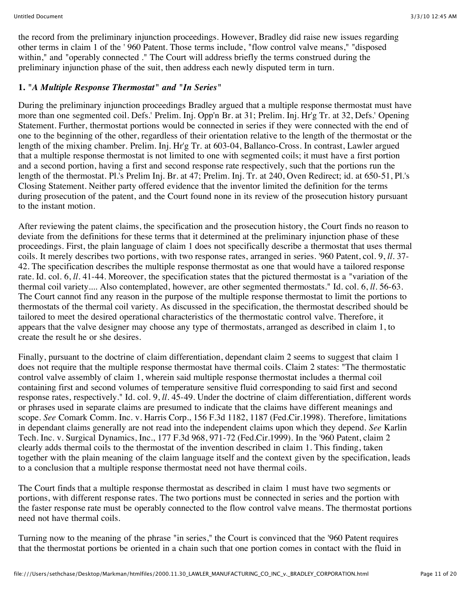the record from the preliminary injunction proceedings. However, Bradley did raise new issues regarding other terms in claim 1 of the ' 960 Patent. Those terms include, "flow control valve means," "disposed within," and "operably connected ." The Court will address briefly the terms construed during the preliminary injunction phase of the suit, then address each newly disputed term in turn.

## **1.** *"A Multiple Response Thermostat" and "In Series"*

During the preliminary injunction proceedings Bradley argued that a multiple response thermostat must have more than one segmented coil. Defs.' Prelim. Inj. Opp'n Br. at 31; Prelim. Inj. Hr'g Tr. at 32, Defs.' Opening Statement. Further, thermostat portions would be connected in series if they were connected with the end of one to the beginning of the other, regardless of their orientation relative to the length of the thermostat or the length of the mixing chamber. Prelim. Inj. Hr'g Tr. at 603-04, Ballanco-Cross. In contrast, Lawler argued that a multiple response thermostat is not limited to one with segmented coils; it must have a first portion and a second portion, having a first and second response rate respectively, such that the portions run the length of the thermostat. Pl.'s Prelim Inj. Br. at 47; Prelim. Inj. Tr. at 240, Oven Redirect; id. at 650-51, Pl.'s Closing Statement. Neither party offered evidence that the inventor limited the definition for the terms during prosecution of the patent, and the Court found none in its review of the prosecution history pursuant to the instant motion.

After reviewing the patent claims, the specification and the prosecution history, the Court finds no reason to deviate from the definitions for these terms that it determined at the preliminary injunction phase of these proceedings. First, the plain language of claim 1 does not specifically describe a thermostat that uses thermal coils. It merely describes two portions, with two response rates, arranged in series. '960 Patent, col. 9, *ll.* 37- 42. The specification describes the multiple response thermostat as one that would have a tailored response rate. Id. col. 6, *ll.* 41-44. Moreover, the specification states that the pictured thermostat is a "variation of the thermal coil variety.... Also contemplated, however, are other segmented thermostats." Id. col. 6, *ll.* 56-63. The Court cannot find any reason in the purpose of the multiple response thermostat to limit the portions to thermostats of the thermal coil variety. As discussed in the specification, the thermostat described should be tailored to meet the desired operational characteristics of the thermostatic control valve. Therefore, it appears that the valve designer may choose any type of thermostats, arranged as described in claim 1, to create the result he or she desires.

Finally, pursuant to the doctrine of claim differentiation, dependant claim 2 seems to suggest that claim 1 does not require that the multiple response thermostat have thermal coils. Claim 2 states: "The thermostatic control valve assembly of claim 1, wherein said multiple response thermostat includes a thermal coil containing first and second volumes of temperature sensitive fluid corresponding to said first and second response rates, respectively." Id. col. 9, *ll.* 45-49. Under the doctrine of claim differentiation, different words or phrases used in separate claims are presumed to indicate that the claims have different meanings and scope. *See* Comark Comm. Inc. v. Harris Corp., 156 F.3d 1182, 1187 (Fed.Cir.1998). Therefore, limitations in dependant claims generally are not read into the independent claims upon which they depend. *See* Karlin Tech. Inc. v. Surgical Dynamics, Inc., 177 F.3d 968, 971-72 (Fed.Cir.1999). In the '960 Patent, claim 2 clearly adds thermal coils to the thermostat of the invention described in claim 1. This finding, taken together with the plain meaning of the claim language itself and the context given by the specification, leads to a conclusion that a multiple response thermostat need not have thermal coils.

The Court finds that a multiple response thermostat as described in claim 1 must have two segments or portions, with different response rates. The two portions must be connected in series and the portion with the faster response rate must be operably connected to the flow control valve means. The thermostat portions need not have thermal coils.

Turning now to the meaning of the phrase "in series," the Court is convinced that the '960 Patent requires that the thermostat portions be oriented in a chain such that one portion comes in contact with the fluid in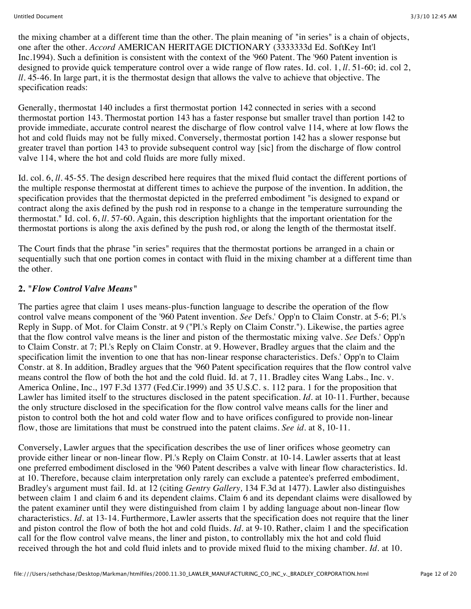the mixing chamber at a different time than the other. The plain meaning of "in series" is a chain of objects, one after the other. *Accord* AMERICAN HERITAGE DICTIONARY (3333333d Ed. SoftKey Int'l Inc.1994). Such a definition is consistent with the context of the '960 Patent. The '960 Patent invention is designed to provide quick temperature control over a wide range of flow rates. Id. col. 1, *ll.* 51-60; id. col 2, *ll.* 45-46. In large part, it is the thermostat design that allows the valve to achieve that objective. The specification reads:

Generally, thermostat 140 includes a first thermostat portion 142 connected in series with a second thermostat portion 143. Thermostat portion 143 has a faster response but smaller travel than portion 142 to provide immediate, accurate control nearest the discharge of flow control valve 114, where at low flows the hot and cold fluids may not be fully mixed. Conversely, thermostat portion 142 has a slower response but greater travel than portion 143 to provide subsequent control way [sic] from the discharge of flow control valve 114, where the hot and cold fluids are more fully mixed.

Id. col. 6, *ll.* 45-55. The design described here requires that the mixed fluid contact the different portions of the multiple response thermostat at different times to achieve the purpose of the invention. In addition, the specification provides that the thermostat depicted in the preferred embodiment "is designed to expand or contract along the axis defined by the push rod in response to a change in the temperature surrounding the thermostat." Id. col. 6, *ll.* 57-60. Again, this description highlights that the important orientation for the thermostat portions is along the axis defined by the push rod, or along the length of the thermostat itself.

The Court finds that the phrase "in series" requires that the thermostat portions be arranged in a chain or sequentially such that one portion comes in contact with fluid in the mixing chamber at a different time than the other.

#### **2.** *"Flow Control Valve Means"*

The parties agree that claim 1 uses means-plus-function language to describe the operation of the flow control valve means component of the '960 Patent invention. *See* Defs.' Opp'n to Claim Constr. at 5-6; Pl.'s Reply in Supp. of Mot. for Claim Constr. at 9 ("Pl.'s Reply on Claim Constr."). Likewise, the parties agree that the flow control valve means is the liner and piston of the thermostatic mixing valve. *See* Defs.' Opp'n to Claim Constr. at 7; Pl.'s Reply on Claim Constr. at 9. However, Bradley argues that the claim and the specification limit the invention to one that has non-linear response characteristics. Defs.' Opp'n to Claim Constr. at 8. In addition, Bradley argues that the '960 Patent specification requires that the flow control valve means control the flow of both the hot and the cold fluid. Id. at 7, 11. Bradley cites Wang Labs., Inc. v. America Online, Inc., 197 F.3d 1377 (Fed.Cir.1999) and 35 U.S.C. s. 112 para. 1 for the proposition that Lawler has limited itself to the structures disclosed in the patent specification. *Id.* at 10-11. Further, because the only structure disclosed in the specification for the flow control valve means calls for the liner and piston to control both the hot and cold water flow and to have orifices configured to provide non-linear flow, those are limitations that must be construed into the patent claims. *See id.* at 8, 10-11.

Conversely, Lawler argues that the specification describes the use of liner orifices whose geometry can provide either linear or non-linear flow. Pl.'s Reply on Claim Constr. at 10-14. Lawler asserts that at least one preferred embodiment disclosed in the '960 Patent describes a valve with linear flow characteristics. Id. at 10. Therefore, because claim interpretation only rarely can exclude a patentee's preferred embodiment, Bradley's argument must fail. Id. at 12 (citing *Gentry Gallery,* 134 F.3d at 1477). Lawler also distinguishes between claim 1 and claim 6 and its dependent claims. Claim 6 and its dependant claims were disallowed by the patent examiner until they were distinguished from claim 1 by adding language about non-linear flow characteristics. *Id.* at 13-14. Furthermore, Lawler asserts that the specification does not require that the liner and piston control the flow of both the hot and cold fluids. *Id.* at 9-10. Rather, claim 1 and the specification call for the flow control valve means, the liner and piston, to controllably mix the hot and cold fluid received through the hot and cold fluid inlets and to provide mixed fluid to the mixing chamber. *Id.* at 10.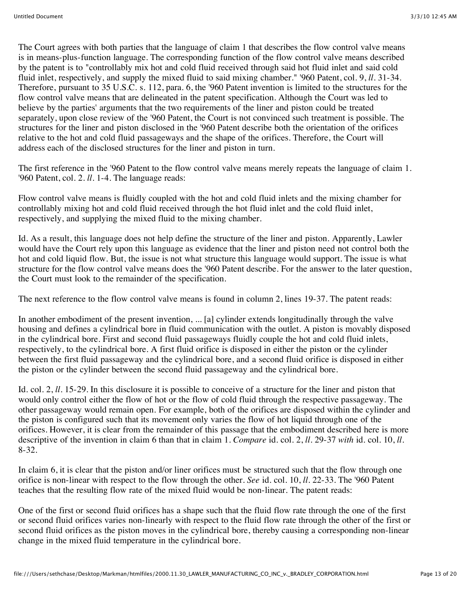The Court agrees with both parties that the language of claim 1 that describes the flow control valve means is in means-plus-function language. The corresponding function of the flow control valve means described by the patent is to "controllably mix hot and cold fluid received through said hot fluid inlet and said cold fluid inlet, respectively, and supply the mixed fluid to said mixing chamber." '960 Patent, col. 9, *ll.* 31-34. Therefore, pursuant to 35 U.S.C. s. 112, para. 6, the '960 Patent invention is limited to the structures for the flow control valve means that are delineated in the patent specification. Although the Court was led to believe by the parties' arguments that the two requirements of the liner and piston could be treated separately, upon close review of the '960 Patent, the Court is not convinced such treatment is possible. The structures for the liner and piston disclosed in the '960 Patent describe both the orientation of the orifices relative to the hot and cold fluid passageways and the shape of the orifices. Therefore, the Court will address each of the disclosed structures for the liner and piston in turn.

The first reference in the '960 Patent to the flow control valve means merely repeats the language of claim 1. '960 Patent, col. 2. *ll.* 1-4. The language reads:

Flow control valve means is fluidly coupled with the hot and cold fluid inlets and the mixing chamber for controllably mixing hot and cold fluid received through the hot fluid inlet and the cold fluid inlet, respectively, and supplying the mixed fluid to the mixing chamber.

Id. As a result, this language does not help define the structure of the liner and piston. Apparently, Lawler would have the Court rely upon this language as evidence that the liner and piston need not control both the hot and cold liquid flow. But, the issue is not what structure this language would support. The issue is what structure for the flow control valve means does the '960 Patent describe. For the answer to the later question, the Court must look to the remainder of the specification.

The next reference to the flow control valve means is found in column 2, lines 19-37. The patent reads:

In another embodiment of the present invention, ... [a] cylinder extends longitudinally through the valve housing and defines a cylindrical bore in fluid communication with the outlet. A piston is movably disposed in the cylindrical bore. First and second fluid passageways fluidly couple the hot and cold fluid inlets, respectively, to the cylindrical bore. A first fluid orifice is disposed in either the piston or the cylinder between the first fluid passageway and the cylindrical bore, and a second fluid orifice is disposed in either the piston or the cylinder between the second fluid passageway and the cylindrical bore.

Id. col. 2, *ll.* 15-29. In this disclosure it is possible to conceive of a structure for the liner and piston that would only control either the flow of hot or the flow of cold fluid through the respective passageway. The other passageway would remain open. For example, both of the orifices are disposed within the cylinder and the piston is configured such that its movement only varies the flow of hot liquid through one of the orifices. However, it is clear from the remainder of this passage that the embodiment described here is more descriptive of the invention in claim 6 than that in claim 1. *Compare* id. col. 2, *ll.* 29-37 *with* id. col. 10, *ll.* 8-32.

In claim 6, it is clear that the piston and/or liner orifices must be structured such that the flow through one orifice is non-linear with respect to the flow through the other. *See* id. col. 10, *ll.* 22-33. The '960 Patent teaches that the resulting flow rate of the mixed fluid would be non-linear. The patent reads:

One of the first or second fluid orifices has a shape such that the fluid flow rate through the one of the first or second fluid orifices varies non-linearly with respect to the fluid flow rate through the other of the first or second fluid orifices as the piston moves in the cylindrical bore, thereby causing a corresponding non-linear change in the mixed fluid temperature in the cylindrical bore.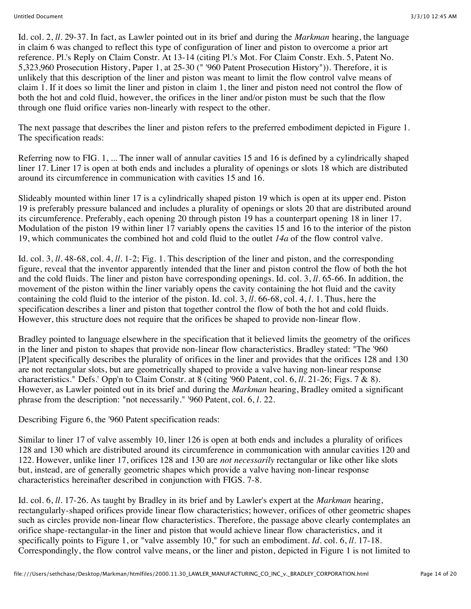Id. col. 2, *ll.* 29-37. In fact, as Lawler pointed out in its brief and during the *Markman* hearing, the language in claim 6 was changed to reflect this type of configuration of liner and piston to overcome a prior art reference. Pl.'s Reply on Claim Constr. At 13-14 (citing Pl.'s Mot. For Claim Constr. Exh. 5, Patent No. 5,323,960 Prosecution History, Paper 1, at 25-30 (" '960 Patent Prosecution History")). Therefore, it is unlikely that this description of the liner and piston was meant to limit the flow control valve means of claim 1. If it does so limit the liner and piston in claim 1, the liner and piston need not control the flow of both the hot and cold fluid, however, the orifices in the liner and/or piston must be such that the flow through one fluid orifice varies non-linearly with respect to the other.

The next passage that describes the liner and piston refers to the preferred embodiment depicted in Figure 1. The specification reads:

Referring now to FIG. 1, ... The inner wall of annular cavities 15 and 16 is defined by a cylindrically shaped liner 17. Liner 17 is open at both ends and includes a plurality of openings or slots 18 which are distributed around its circumference in communication with cavities 15 and 16.

Slideably mounted within liner 17 is a cylindrically shaped piston 19 which is open at its upper end. Piston 19 is preferably pressure balanced and includes a plurality of openings or slots 20 that are distributed around its circumference. Preferably, each opening 20 through piston 19 has a counterpart opening 18 in liner 17. Modulation of the piston 19 within liner 17 variably opens the cavities 15 and 16 to the interior of the piston 19, which communicates the combined hot and cold fluid to the outlet *14a* of the flow control valve.

Id. col. 3, *ll.* 48-68, col. 4, *ll.* 1-2; Fig. 1. This description of the liner and piston, and the corresponding figure, reveal that the inventor apparently intended that the liner and piston control the flow of both the hot and the cold fluids. The liner and piston have corresponding openings. Id. col. 3, *ll.* 65-66. In addition, the movement of the piston within the liner variably opens the cavity containing the hot fluid and the cavity containing the cold fluid to the interior of the piston. Id. col. 3, *ll.* 66-68, col. 4, *l.* 1. Thus, here the specification describes a liner and piston that together control the flow of both the hot and cold fluids. However, this structure does not require that the orifices be shaped to provide non-linear flow.

Bradley pointed to language elsewhere in the specification that it believed limits the geometry of the orifices in the liner and piston to shapes that provide non-linear flow characteristics. Bradley stated: "The '960 [P]atent specifically describes the plurality of orifices in the liner and provides that the orifices 128 and 130 are not rectangular slots, but are geometrically shaped to provide a valve having non-linear response characteristics." Defs.' Opp'n to Claim Constr. at 8 (citing '960 Patent, col. 6, *ll.* 21-26; Figs. 7 & 8). However, as Lawler pointed out in its brief and during the *Markman* hearing, Bradley omited a significant phrase from the description: "not necessarily." '960 Patent, col. 6, *l.* 22.

Describing Figure 6, the '960 Patent specification reads:

Similar to liner 17 of valve assembly 10, liner 126 is open at both ends and includes a plurality of orifices 128 and 130 which are distributed around its circumference in communication with annular cavities 120 and 122. However, unlike liner 17, orifices 128 and 130 are *not necessarily* rectangular or like other like slots but, instead, are of generally geometric shapes which provide a valve having non-linear response characteristics hereinafter described in conjunction with FIGS. 7-8.

Id. col. 6, *ll.* 17-26. As taught by Bradley in its brief and by Lawler's expert at the *Markman* hearing, rectangularly-shaped orifices provide linear flow characteristics; however, orifices of other geometric shapes such as circles provide non-linear flow characteristics. Therefore, the passage above clearly contemplates an orifice shape-rectangular-in the liner and piston that would achieve linear flow characteristics, and it specifically points to Figure 1, or "valve assembly 10," for such an embodiment. *Id.* col. 6, *ll.* 17-18. Correspondingly, the flow control valve means, or the liner and piston, depicted in Figure 1 is not limited to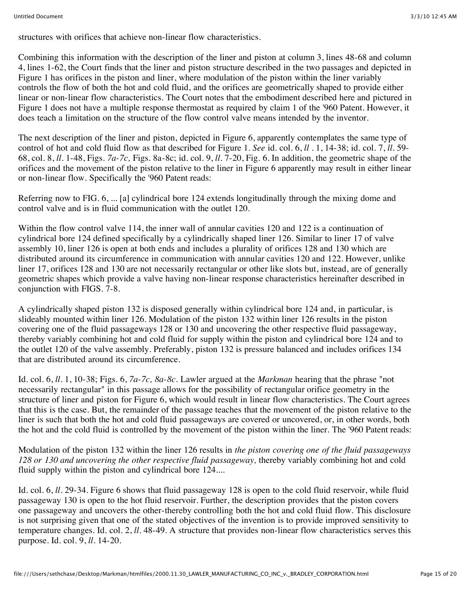structures with orifices that achieve non-linear flow characteristics.

Combining this information with the description of the liner and piston at column 3, lines 48-68 and column 4, lines 1-62, the Court finds that the liner and piston structure described in the two passages and depicted in Figure 1 has orifices in the piston and liner, where modulation of the piston within the liner variably controls the flow of both the hot and cold fluid, and the orifices are geometrically shaped to provide either linear or non-linear flow characteristics. The Court notes that the embodiment described here and pictured in Figure 1 does not have a multiple response thermostat as required by claim 1 of the '960 Patent. However, it does teach a limitation on the structure of the flow control valve means intended by the inventor.

The next description of the liner and piston, depicted in Figure 6, apparently contemplates the same type of control of hot and cold fluid flow as that described for Figure 1. *See* id. col. 6, *ll .* 1, 14-38; id. col. 7, *ll.* 59- 68, col. 8, *ll.* 1-48, Figs. *7a-7c,* Figs. 8a-8c; id. col. 9, *ll.* 7-20, Fig. 6. In addition, the geometric shape of the orifices and the movement of the piston relative to the liner in Figure 6 apparently may result in either linear or non-linear flow. Specifically the '960 Patent reads:

Referring now to FIG. 6, ... [a] cylindrical bore 124 extends longitudinally through the mixing dome and control valve and is in fluid communication with the outlet 120.

Within the flow control valve 114, the inner wall of annular cavities 120 and 122 is a continuation of cylindrical bore 124 defined specifically by a cylindrically shaped liner 126. Similar to liner 17 of valve assembly 10, liner 126 is open at both ends and includes a plurality of orifices 128 and 130 which are distributed around its circumference in communication with annular cavities 120 and 122. However, unlike liner 17, orifices 128 and 130 are not necessarily rectangular or other like slots but, instead, are of generally geometric shapes which provide a valve having non-linear response characteristics hereinafter described in conjunction with FIGS. 7-8.

A cylindrically shaped piston 132 is disposed generally within cylindrical bore 124 and, in particular, is slideably mounted within liner 126. Modulation of the piston 132 within liner 126 results in the piston covering one of the fluid passageways 128 or 130 and uncovering the other respective fluid passageway, thereby variably combining hot and cold fluid for supply within the piston and cylindrical bore 124 and to the outlet 120 of the valve assembly. Preferably, piston 132 is pressure balanced and includes orifices 134 that are distributed around its circumference.

Id. col. 6, *ll.* 1, 10-38; Figs. 6, *7a-7c, 8a-8c.* Lawler argued at the *Markman* hearing that the phrase "not necessarily rectangular" in this passage allows for the possibility of rectangular orifice geometry in the structure of liner and piston for Figure 6, which would result in linear flow characteristics. The Court agrees that this is the case. But, the remainder of the passage teaches that the movement of the piston relative to the liner is such that both the hot and cold fluid passageways are covered or uncovered, or, in other words, both the hot and the cold fluid is controlled by the movement of the piston within the liner. The '960 Patent reads:

Modulation of the piston 132 within the liner 126 results in *the piston covering one of the fluid passageways 128 or 130 and uncovering the other respective fluid passageway,* thereby variably combining hot and cold fluid supply within the piston and cylindrical bore 124....

Id. col. 6, *ll.* 29-34. Figure 6 shows that fluid passageway 128 is open to the cold fluid reservoir, while fluid passageway 130 is open to the hot fluid reservoir. Further, the description provides that the piston covers one passageway and uncovers the other-thereby controlling both the hot and cold fluid flow. This disclosure is not surprising given that one of the stated objectives of the invention is to provide improved sensitivity to temperature changes. Id. col. 2, *ll.* 48-49. A structure that provides non-linear flow characteristics serves this purpose. Id. col. 9, *ll.* 14-20.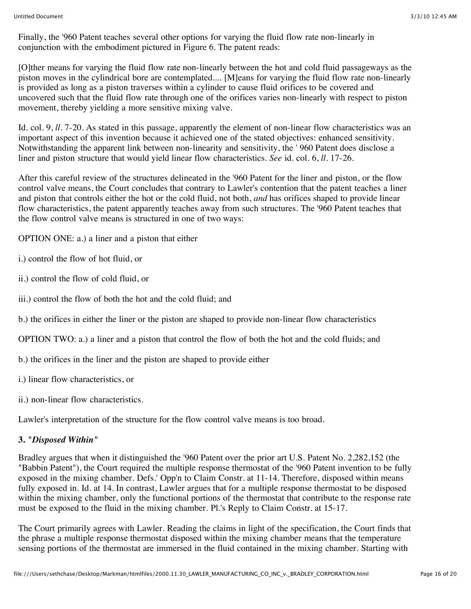Finally, the '960 Patent teaches several other options for varying the fluid flow rate non-linearly in conjunction with the embodiment pictured in Figure 6. The patent reads:

[O]ther means for varying the fluid flow rate non-linearly between the hot and cold fluid passageways as the piston moves in the cylindrical bore are contemplated.... [M]eans for varying the fluid flow rate non-linearly is provided as long as a piston traverses within a cylinder to cause fluid orifices to be covered and uncovered such that the fluid flow rate through one of the orifices varies non-linearly with respect to piston movement, thereby yielding a more sensitive mixing valve.

Id. col. 9, *ll.* 7-20. As stated in this passage, apparently the element of non-linear flow characteristics was an important aspect of this invention because it achieved one of the stated objectives: enhanced sensitivity. Notwithstanding the apparent link between non-linearity and sensitivity, the ' 960 Patent does disclose a liner and piston structure that would yield linear flow characteristics. *See* id. col. 6, *ll.* 17-26.

After this careful review of the structures delineated in the '960 Patent for the liner and piston, or the flow control valve means, the Court concludes that contrary to Lawler's contention that the patent teaches a liner and piston that controls either the hot or the cold fluid, not both, *and* has orifices shaped to provide linear flow characteristics, the patent apparently teaches away from such structures. The '960 Patent teaches that the flow control valve means is structured in one of two ways:

OPTION ONE: a.) a liner and a piston that either

i.) control the flow of hot fluid, or

ii.) control the flow of cold fluid, or

iii.) control the flow of both the hot and the cold fluid; and

b.) the orifices in either the liner or the piston are shaped to provide non-linear flow characteristics

OPTION TWO: a.) a liner and a piston that control the flow of both the hot and the cold fluids; and

b.) the orifices in the liner and the piston are shaped to provide either

i.) linear flow characteristics, or

ii.) non-linear flow characteristics.

Lawler's interpretation of the structure for the flow control valve means is too broad.

#### **3.** *"Disposed Within"*

Bradley argues that when it distinguished the '960 Patent over the prior art U.S. Patent No. 2,282,152 (the "Babbin Patent"), the Court required the multiple response thermostat of the '960 Patent invention to be fully exposed in the mixing chamber. Defs.' Opp'n to Claim Constr. at 11-14. Therefore, disposed within means fully exposed in. Id. at 14. In contrast, Lawler argues that for a multiple response thermostat to be disposed within the mixing chamber, only the functional portions of the thermostat that contribute to the response rate must be exposed to the fluid in the mixing chamber. Pl.'s Reply to Claim Constr. at 15-17.

The Court primarily agrees with Lawler. Reading the claims in light of the specification, the Court finds that the phrase a multiple response thermostat disposed within the mixing chamber means that the temperature sensing portions of the thermostat are immersed in the fluid contained in the mixing chamber. Starting with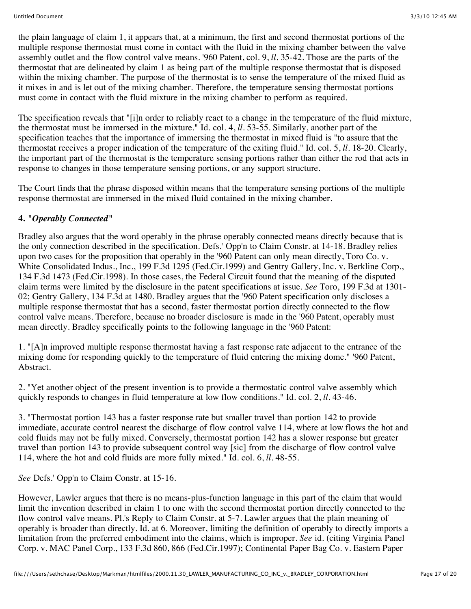the plain language of claim 1, it appears that, at a minimum, the first and second thermostat portions of the multiple response thermostat must come in contact with the fluid in the mixing chamber between the valve assembly outlet and the flow control valve means. '960 Patent, col. 9, *ll.* 35-42. Those are the parts of the thermostat that are delineated by claim 1 as being part of the multiple response thermostat that is disposed within the mixing chamber. The purpose of the thermostat is to sense the temperature of the mixed fluid as it mixes in and is let out of the mixing chamber. Therefore, the temperature sensing thermostat portions must come in contact with the fluid mixture in the mixing chamber to perform as required.

The specification reveals that "[i]n order to reliably react to a change in the temperature of the fluid mixture, the thermostat must be immersed in the mixture." Id. col. 4, *ll.* 53-55. Similarly, another part of the specification teaches that the importance of immersing the thermostat in mixed fluid is "to assure that the thermostat receives a proper indication of the temperature of the exiting fluid." Id. col. 5, *ll.* 18-20. Clearly, the important part of the thermostat is the temperature sensing portions rather than either the rod that acts in response to changes in those temperature sensing portions, or any support structure.

The Court finds that the phrase disposed within means that the temperature sensing portions of the multiple response thermostat are immersed in the mixed fluid contained in the mixing chamber.

# **4.** *"Operably Connected"*

Bradley also argues that the word operably in the phrase operably connected means directly because that is the only connection described in the specification. Defs.' Opp'n to Claim Constr. at 14-18. Bradley relies upon two cases for the proposition that operably in the '960 Patent can only mean directly, Toro Co. v. White Consolidated Indus., Inc., 199 F.3d 1295 (Fed.Cir.1999) and Gentry Gallery, Inc. v. Berkline Corp., 134 F.3d 1473 (Fed.Cir.1998). In those cases, the Federal Circuit found that the meaning of the disputed claim terms were limited by the disclosure in the patent specifications at issue. *See* Toro, 199 F.3d at 1301- 02; Gentry Gallery, 134 F.3d at 1480. Bradley argues that the '960 Patent specification only discloses a multiple response thermostat that has a second, faster thermostat portion directly connected to the flow control valve means. Therefore, because no broader disclosure is made in the '960 Patent, operably must mean directly. Bradley specifically points to the following language in the '960 Patent:

1. "[A]n improved multiple response thermostat having a fast response rate adjacent to the entrance of the mixing dome for responding quickly to the temperature of fluid entering the mixing dome." '960 Patent, Abstract.

2. "Yet another object of the present invention is to provide a thermostatic control valve assembly which quickly responds to changes in fluid temperature at low flow conditions." Id. col. 2, *ll.* 43-46.

3. "Thermostat portion 143 has a faster response rate but smaller travel than portion 142 to provide immediate, accurate control nearest the discharge of flow control valve 114, where at low flows the hot and cold fluids may not be fully mixed. Conversely, thermostat portion 142 has a slower response but greater travel than portion 143 to provide subsequent control way [sic] from the discharge of flow control valve 114, where the hot and cold fluids are more fully mixed." Id. col. 6, *ll.* 48-55.

*See* Defs.' Opp'n to Claim Constr. at 15-16.

However, Lawler argues that there is no means-plus-function language in this part of the claim that would limit the invention described in claim 1 to one with the second thermostat portion directly connected to the flow control valve means. Pl.'s Reply to Claim Constr. at 5-7. Lawler argues that the plain meaning of operably is broader than directly. Id. at 6. Moreover, limiting the definition of operably to directly imports a limitation from the preferred embodiment into the claims, which is improper. *See* id. (citing Virginia Panel Corp. v. MAC Panel Corp., 133 F.3d 860, 866 (Fed.Cir.1997); Continental Paper Bag Co. v. Eastern Paper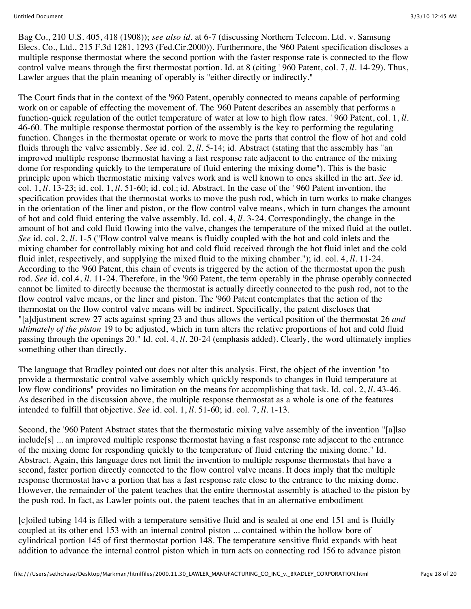Bag Co., 210 U.S. 405, 418 (1908)); *see also id.* at 6-7 (discussing Northern Telecom. Ltd. v. Samsung Elecs. Co., Ltd., 215 F.3d 1281, 1293 (Fed.Cir.2000)). Furthermore, the '960 Patent specification discloses a multiple response thermostat where the second portion with the faster response rate is connected to the flow control valve means through the first thermostat portion. Id. at 8 (citing ' 960 Patent, col. 7, *ll.* 14-29). Thus, Lawler argues that the plain meaning of operably is "either directly or indirectly."

The Court finds that in the context of the '960 Patent, operably connected to means capable of performing work on or capable of effecting the movement of. The '960 Patent describes an assembly that performs a function-quick regulation of the outlet temperature of water at low to high flow rates. ' 960 Patent, col. 1, *ll.* 46-60. The multiple response thermostat portion of the assembly is the key to performing the regulating function. Changes in the thermostat operate or work to move the parts that control the flow of hot and cold fluids through the valve assembly. *See* id. col. 2, *ll.* 5-14; id. Abstract (stating that the assembly has "an improved multiple response thermostat having a fast response rate adjacent to the entrance of the mixing dome for responding quickly to the temperature of fluid entering the mixing dome"). This is the basic principle upon which thermostatic mixing valves work and is well known to ones skilled in the art. *See* id. col. 1, *ll.* 13-23; id. col. 1, *ll.* 51-60; id. col.; id. Abstract. In the case of the ' 960 Patent invention, the specification provides that the thermostat works to move the push rod, which in turn works to make changes in the orientation of the liner and piston, or the flow control valve means, which in turn changes the amount of hot and cold fluid entering the valve assembly. Id. col. 4, *ll.* 3-24. Correspondingly, the change in the amount of hot and cold fluid flowing into the valve, changes the temperature of the mixed fluid at the outlet. *See* id. col. 2, *ll.* 1-5 ("Flow control valve means is fluidly coupled with the hot and cold inlets and the mixing chamber for controllably mixing hot and cold fluid received through the hot fluid inlet and the cold fluid inlet, respectively, and supplying the mixed fluid to the mixing chamber."); id. col. 4, *ll.* 11-24. According to the '960 Patent, this chain of events is triggered by the action of the thermostat upon the push rod. *See* id. col.4, *ll.* 11-24. Therefore, in the '960 Patent, the term operably in the phrase operably connected cannot be limited to directly because the thermostat is actually directly connected to the push rod, not to the flow control valve means, or the liner and piston. The '960 Patent contemplates that the action of the thermostat on the flow control valve means will be indirect. Specifically, the patent discloses that "[a]djustment screw 27 acts against spring 23 and thus allows the vertical position of the thermostat 26 *and ultimately of the piston* 19 to be adjusted, which in turn alters the relative proportions of hot and cold fluid passing through the openings 20." Id. col. 4, *ll.* 20-24 (emphasis added). Clearly, the word ultimately implies something other than directly.

The language that Bradley pointed out does not alter this analysis. First, the object of the invention "to provide a thermostatic control valve assembly which quickly responds to changes in fluid temperature at low flow conditions" provides no limitation on the means for accomplishing that task. Id. col. 2, *ll.* 43-46. As described in the discussion above, the multiple response thermostat as a whole is one of the features intended to fulfill that objective. *See* id. col. 1, *ll.* 51-60; id. col. 7, *ll.* 1-13.

Second, the '960 Patent Abstract states that the thermostatic mixing valve assembly of the invention "[a]lso include[s] ... an improved multiple response thermostat having a fast response rate adjacent to the entrance of the mixing dome for responding quickly to the temperature of fluid entering the mixing dome." Id. Abstract. Again, this language does not limit the invention to multiple response thermostats that have a second, faster portion directly connected to the flow control valve means. It does imply that the multiple response thermostat have a portion that has a fast response rate close to the entrance to the mixing dome. However, the remainder of the patent teaches that the entire thermostat assembly is attached to the piston by the push rod. In fact, as Lawler points out, the patent teaches that in an alternative embodiment

[c]oiled tubing 144 is filled with a temperature sensitive fluid and is sealed at one end 151 and is fluidly coupled at its other end 153 with an internal control piston ... contained within the hollow bore of cylindrical portion 145 of first thermostat portion 148. The temperature sensitive fluid expands with heat addition to advance the internal control piston which in turn acts on connecting rod 156 to advance piston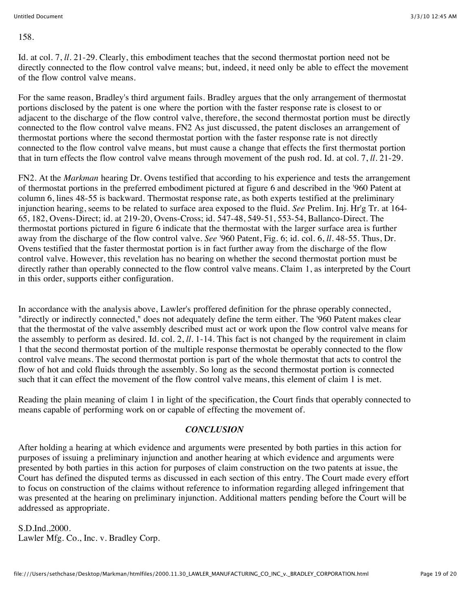158.

Id. at col. 7, *ll.* 21-29. Clearly, this embodiment teaches that the second thermostat portion need not be directly connected to the flow control valve means; but, indeed, it need only be able to effect the movement of the flow control valve means.

For the same reason, Bradley's third argument fails. Bradley argues that the only arrangement of thermostat portions disclosed by the patent is one where the portion with the faster response rate is closest to or adjacent to the discharge of the flow control valve, therefore, the second thermostat portion must be directly connected to the flow control valve means. FN2 As just discussed, the patent discloses an arrangement of thermostat portions where the second thermostat portion with the faster response rate is not directly connected to the flow control valve means, but must cause a change that effects the first thermostat portion that in turn effects the flow control valve means through movement of the push rod. Id. at col. 7, *ll.* 21-29.

FN2. At the *Markman* hearing Dr. Ovens testified that according to his experience and tests the arrangement of thermostat portions in the preferred embodiment pictured at figure 6 and described in the '960 Patent at column 6, lines 48-55 is backward. Thermostat response rate, as both experts testified at the preliminary injunction hearing, seems to be related to surface area exposed to the fluid. *See* Prelim. Inj. Hr'g Tr. at 164- 65, 182, Ovens-Direct; id. at 219-20, Ovens-Cross; id. 547-48, 549-51, 553-54, Ballanco-Direct. The thermostat portions pictured in figure 6 indicate that the thermostat with the larger surface area is further away from the discharge of the flow control valve. *See* '960 Patent, Fig. 6; id. col. 6, *ll.* 48-55. Thus, Dr. Ovens testified that the faster thermostat portion is in fact further away from the discharge of the flow control valve. However, this revelation has no bearing on whether the second thermostat portion must be directly rather than operably connected to the flow control valve means. Claim 1, as interpreted by the Court in this order, supports either configuration.

In accordance with the analysis above, Lawler's proffered definition for the phrase operably connected, "directly or indirectly connected," does not adequately define the term either. The '960 Patent makes clear that the thermostat of the valve assembly described must act or work upon the flow control valve means for the assembly to perform as desired. Id. col. 2, *. 1-14. This fact is not changed by the requirement in claim* 1 that the second thermostat portion of the multiple response thermostat be operably connected to the flow control valve means. The second thermostat portion is part of the whole thermostat that acts to control the flow of hot and cold fluids through the assembly. So long as the second thermostat portion is connected such that it can effect the movement of the flow control valve means, this element of claim 1 is met.

Reading the plain meaning of claim 1 in light of the specification, the Court finds that operably connected to means capable of performing work on or capable of effecting the movement of.

## *CONCLUSION*

After holding a hearing at which evidence and arguments were presented by both parties in this action for purposes of issuing a preliminary injunction and another hearing at which evidence and arguments were presented by both parties in this action for purposes of claim construction on the two patents at issue, the Court has defined the disputed terms as discussed in each section of this entry. The Court made every effort to focus on construction of the claims without reference to information regarding alleged infringement that was presented at the hearing on preliminary injunction. Additional matters pending before the Court will be addressed as appropriate.

S.D.Ind.,2000. Lawler Mfg. Co., Inc. v. Bradley Corp.